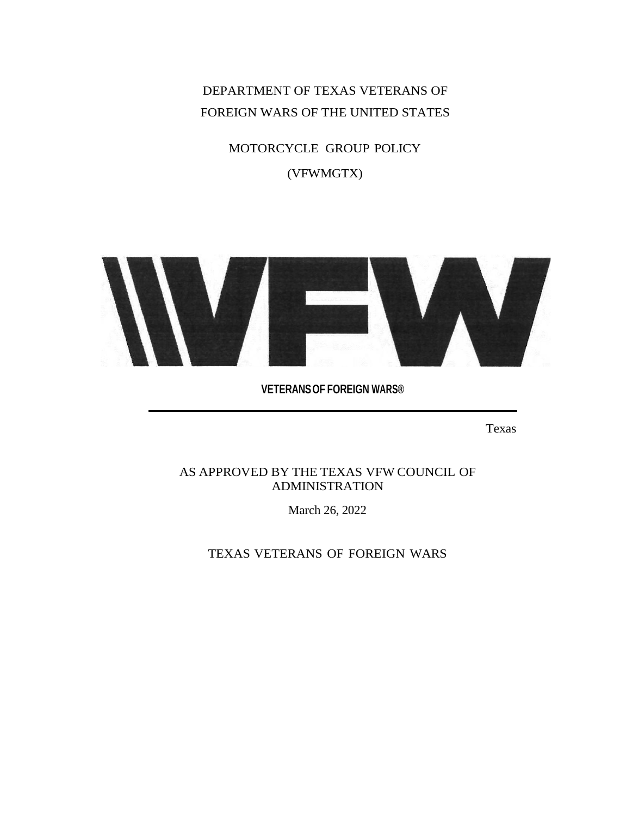DEPARTMENT OF TEXAS VETERANS OF FOREIGN WARS OF THE UNITED STATES

> MOTORCYCLE GROUP POLICY (VFWMGTX)



**VETERANSOF FOREIGN WARS®**

Texas

AS APPROVED BY THE TEXAS VFW COUNCIL OF ADMINISTRATION

March 26, 2022

TEXAS VETERANS OF FOREIGN WARS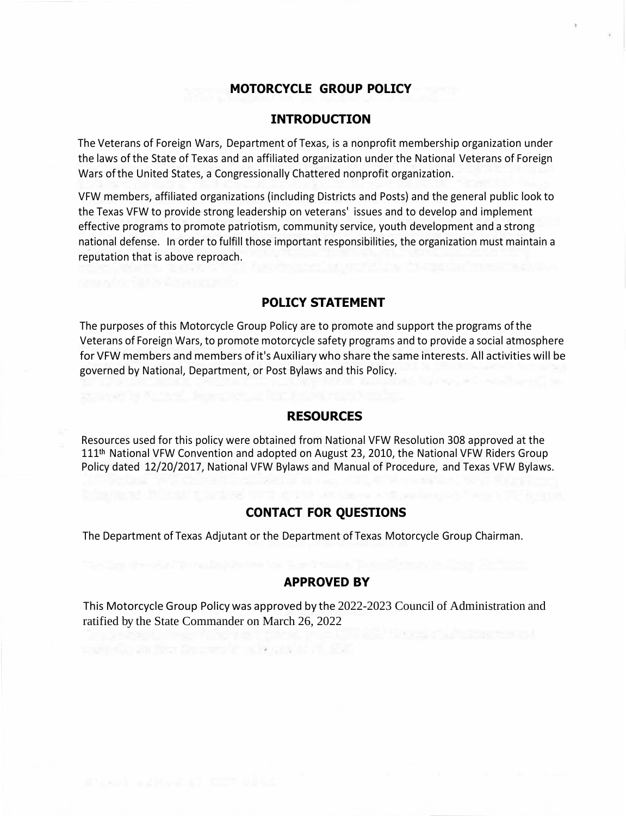#### **MOTORCYCLE GROUP POLICY**

#### **INTRODUCTION**

The Veterans of Foreign Wars, Department of Texas, is a nonprofit membership organization under the laws of the State of Texas and an affiliated organization under the National Veterans of Foreign Wars ofthe United States, a Congressionally Chattered nonprofit organization.

VFW members, affiliated organizations (including Districts and Posts) and the general public look to the Texas VFW to provide strong leadership on veterans' issues and to develop and implement effective programs to promote patriotism, community service, youth development and a strong national defense. In order to fulfill those important responsibilities, the organization must maintain a reputation that is above reproach.

#### **POLICY STATEMENT**

The purposes of this Motorcycle Group Policy are to promote and support the programs ofthe Veterans of Foreign Wars, to promote motorcycle safety programs and to provide a social atmosphere for VFW members and members ofit's Auxiliary who share the same interests. All activities will be governed by National, Department, or Post Bylaws and this Policy.

#### **RESOURCES**

Resources used for this policy were obtained from National VFW Resolution 308 approved at the 111th National VFW Convention and adopted on August 23, 2010, the National VFW Riders Group Policy dated 12/20/2017, National VFW Bylaws and Manual of Procedure, and Texas VFW Bylaws.

#### **CONTACT FOR QUESTIONS**

The Department of Texas Adjutant or the Department of Texas Motorcycle Group Chairman.

#### **APPROVED BY**

This Motorcycle Group Policy was approved by the 2022-2023 Council of Administration and ratified by the State Commander on March 26, 2022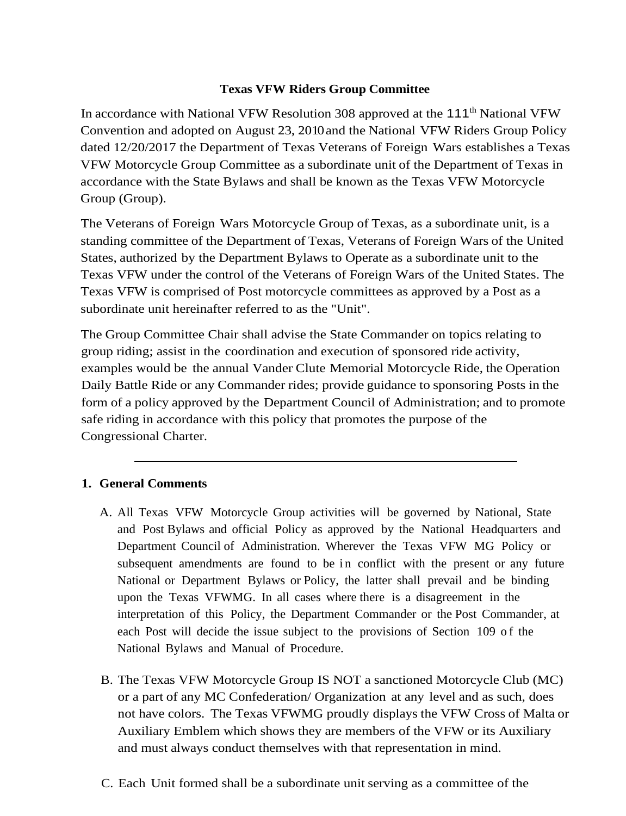#### **Texas VFW Riders Group Committee**

In accordance with National VFW Resolution 308 approved at the 111<sup>th</sup> National VFW Convention and adopted on August 23, 2010and the National VFW Riders Group Policy dated 12/20/2017 the Department of Texas Veterans of Foreign Wars establishes a Texas VFW Motorcycle Group Committee as a subordinate unit of the Department of Texas in accordance with the State Bylaws and shall be known as the Texas VFW Motorcycle Group (Group).

The Veterans of Foreign Wars Motorcycle Group of Texas, as a subordinate unit, is a standing committee of the Department of Texas, Veterans of Foreign Wars of the United States, authorized by the Department Bylaws to Operate as a subordinate unit to the Texas VFW under the control of the Veterans of Foreign Wars of the United States. The Texas VFW is comprised of Post motorcycle committees as approved by a Post as a subordinate unit hereinafter referred to as the "Unit".

The Group Committee Chair shall advise the State Commander on topics relating to group riding; assist in the coordination and execution of sponsored ride activity, examples would be the annual Vander Clute Memorial Motorcycle Ride, the Operation Daily Battle Ride or any Commander rides; provide guidance to sponsoring Posts in the form of a policy approved by the Department Council of Administration; and to promote safe riding in accordance with this policy that promotes the purpose of the Congressional Charter.

# **1. General Comments**

- A. All Texas VFW Motorcycle Group activities will be governed by National, State and Post Bylaws and official Policy as approved by the National Headquarters and Department Council of Administration. Wherever the Texas VFW MG Policy or subsequent amendments are found to be in conflict with the present or any future National or Department Bylaws or Policy, the latter shall prevail and be binding upon the Texas VFWMG. In all cases where there is a disagreement in the interpretation of this Policy, the Department Commander or the Post Commander, at each Post will decide the issue subject to the provisions of Section 109 of the National Bylaws and Manual of Procedure.
- B. The Texas VFW Motorcycle Group IS NOT a sanctioned Motorcycle Club (MC) or a part of any MC Confederation/ Organization at any level and as such, does not have colors. The Texas VFWMG proudly displays the VFW Cross of Malta or Auxiliary Emblem which shows they are members of the VFW or its Auxiliary and must always conduct themselves with that representation in mind.
- C. Each Unit formed shall be a subordinate unit serving as a committee of the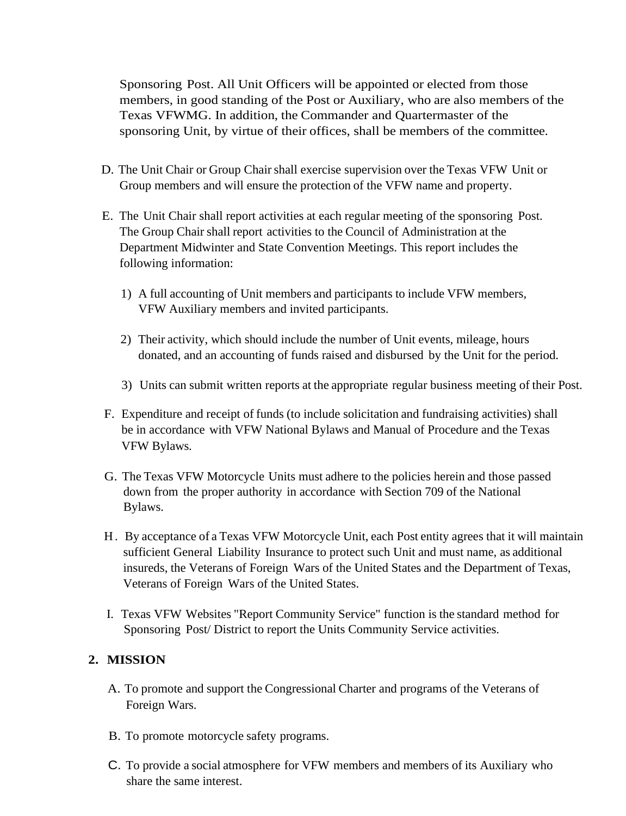Sponsoring Post. All Unit Officers will be appointed or elected from those members, in good standing of the Post or Auxiliary, who are also members of the Texas VFWMG. In addition, the Commander and Quartermaster of the sponsoring Unit, by virtue of their offices, shall be members of the committee.

- D. The Unit Chair or Group Chair shall exercise supervision over the Texas VFW Unit or Group members and will ensure the protection of the VFW name and property.
- E. The Unit Chair shall report activities at each regular meeting of the sponsoring Post. The Group Chair shall report activities to the Council of Administration at the Department Midwinter and State Convention Meetings. This report includes the following information:
	- 1) A full accounting of Unit members and participants to include VFW members, VFW Auxiliary members and invited participants.
	- 2) Their activity, which should include the number of Unit events, mileage, hours donated, and an accounting of funds raised and disbursed by the Unit for the period.
	- 3) Units can submit written reports at the appropriate regular business meeting of their Post.
- F. Expenditure and receipt of funds (to include solicitation and fundraising activities) shall be in accordance with VFW National Bylaws and Manual of Procedure and the Texas VFW Bylaws.
- G. The Texas VFW Motorcycle Units must adhere to the policies herein and those passed down from the proper authority in accordance with Section 709 of the National Bylaws.
- H . By acceptance of a Texas VFW Motorcycle Unit, each Post entity agrees that it will maintain sufficient General Liability Insurance to protect such Unit and must name, as additional insureds, the Veterans of Foreign Wars of the United States and the Department of Texas, Veterans of Foreign Wars of the United States.
- I. Texas VFW Websites "Report Community Service" function is the standard method for Sponsoring Post/ District to report the Units Community Service activities.

# **2. MISSION**

- A. To promote and support the Congressional Charter and programs of the Veterans of Foreign Wars.
- B. To promote motorcycle safety programs.
- C. To provide a social atmosphere for VFW members and members of its Auxiliary who share the same interest.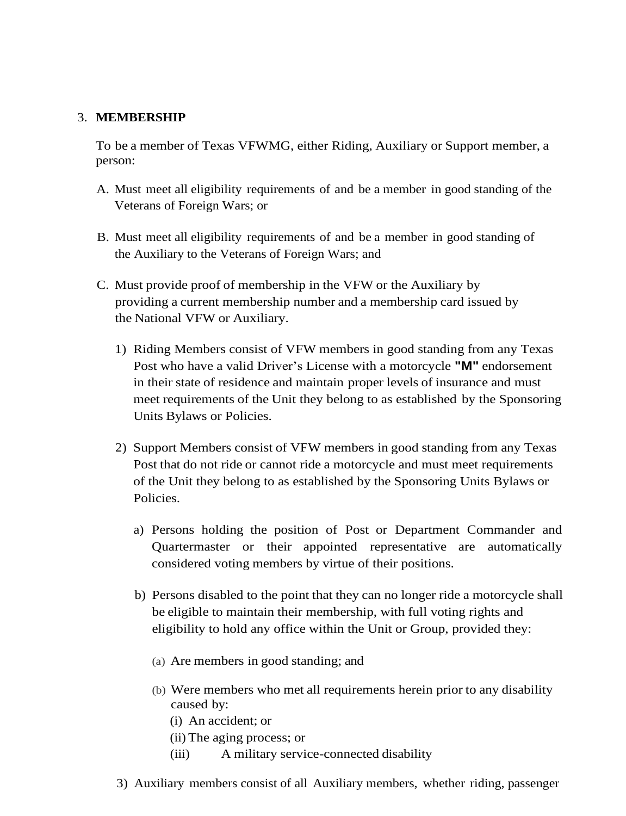#### 3. **MEMBERSHIP**

To be a member of Texas VFWMG, either Riding, Auxiliary or Support member, a person:

- A. Must meet all eligibility requirements of and be a member in good standing of the Veterans of Foreign Wars; or
- B. Must meet all eligibility requirements of and be a member in good standing of the Auxiliary to the Veterans of Foreign Wars; and
- C. Must provide proof of membership in the VFW or the Auxiliary by providing a current membership number and a membership card issued by the National VFW or Auxiliary.
	- 1) Riding Members consist of VFW members in good standing from any Texas Post who have a valid Driver's License with a motorcycle **"M"** endorsement in their state of residence and maintain proper levels of insurance and must meet requirements of the Unit they belong to as established by the Sponsoring Units Bylaws or Policies.
	- 2) Support Members consist of VFW members in good standing from any Texas Post that do not ride or cannot ride a motorcycle and must meet requirements of the Unit they belong to as established by the Sponsoring Units Bylaws or Policies.
		- a) Persons holding the position of Post or Department Commander and Quartermaster or their appointed representative are automatically considered voting members by virtue of their positions.
		- b) Persons disabled to the point that they can no longer ride a motorcycle shall be eligible to maintain their membership, with full voting rights and eligibility to hold any office within the Unit or Group, provided they:
			- (a) Are members in good standing; and
			- (b) Were members who met all requirements herein prior to any disability caused by:
				- (i) An accident; or
				- (ii) The aging process; or
				- (iii) A military service-connected disability
	- 3) Auxiliary members consist of all Auxiliary members, whether riding, passenger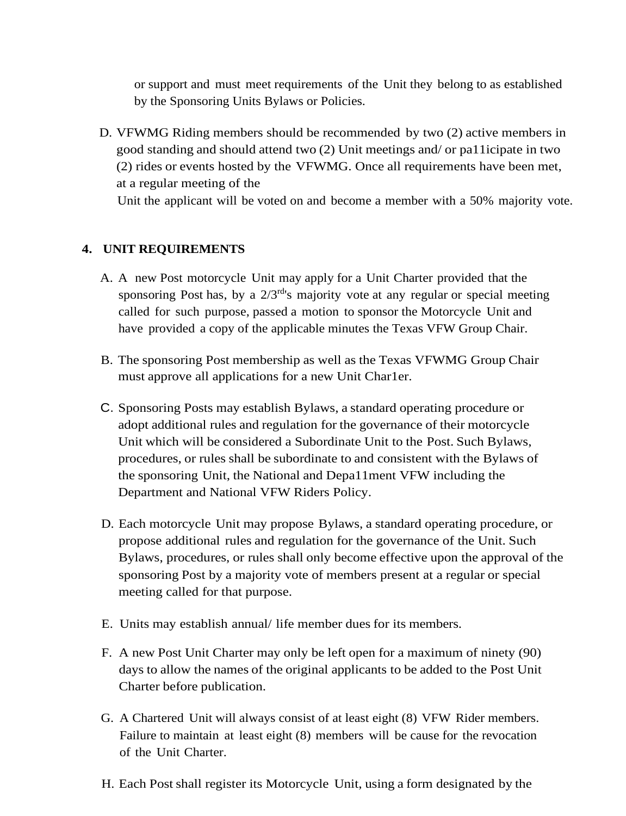or support and must meet requirements of the Unit they belong to as established by the Sponsoring Units Bylaws or Policies.

D. VFWMG Riding members should be recommended by two (2) active members in good standing and should attend two (2) Unit meetings and/ or pa11icipate in two (2) rides or events hosted by the VFWMG. Once all requirements have been met, at a regular meeting of the

Unit the applicant will be voted on and become a member with a 50% majority vote.

#### **4. UNIT REQUIREMENTS**

- A. A new Post motorcycle Unit may apply for a Unit Charter provided that the sponsoring Post has, by a  $2/3<sup>rd</sup>$ 's majority vote at any regular or special meeting called for such purpose, passed a motion to sponsor the Motorcycle Unit and have provided a copy of the applicable minutes the Texas VFW Group Chair.
- B. The sponsoring Post membership as well as the Texas VFWMG Group Chair must approve all applications for a new Unit Char1er.
- C. Sponsoring Posts may establish Bylaws, a standard operating procedure or adopt additional rules and regulation for the governance of their motorcycle Unit which will be considered a Subordinate Unit to the Post. Such Bylaws, procedures, or rules shall be subordinate to and consistent with the Bylaws of the sponsoring Unit, the National and Depa11ment VFW including the Department and National VFW Riders Policy.
- D. Each motorcycle Unit may propose Bylaws, a standard operating procedure, or propose additional rules and regulation for the governance of the Unit. Such Bylaws, procedures, or rules shall only become effective upon the approval of the sponsoring Post by a majority vote of members present at a regular or special meeting called for that purpose.
- E. Units may establish annual/ life member dues for its members.
- F. A new Post Unit Charter may only be left open for a maximum of ninety (90) days to allow the names of the original applicants to be added to the Post Unit Charter before publication.
- G. A Chartered Unit will always consist of at least eight (8) VFW Rider members. Failure to maintain at least eight (8) members will be cause for the revocation of the Unit Charter.
- H. Each Post shall register its Motorcycle Unit, using a form designated by the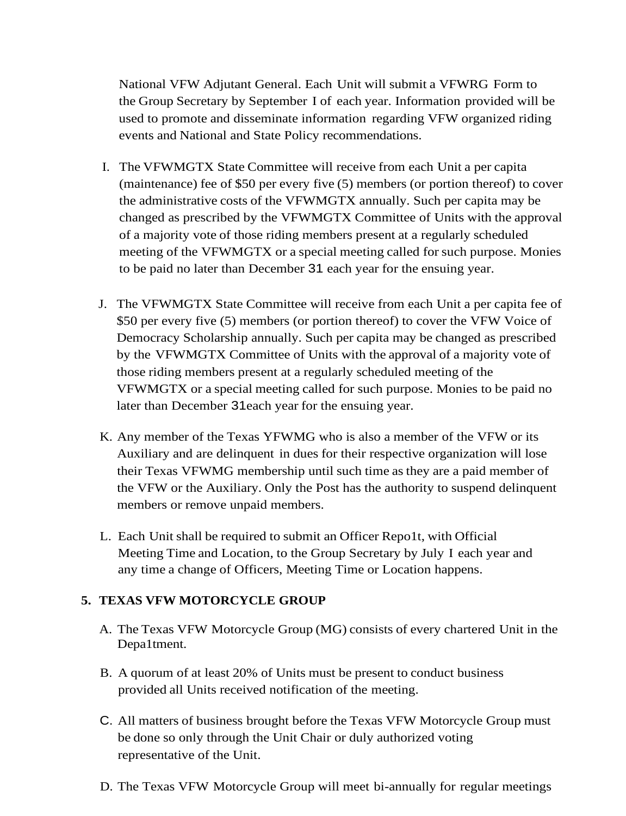National VFW Adjutant General. Each Unit will submit a VFWRG Form to the Group Secretary by September I of each year. Information provided will be used to promote and disseminate information regarding VFW organized riding events and National and State Policy recommendations.

- I. The VFWMGTX State Committee will receive from each Unit a per capita (maintenance) fee of \$50 per every five (5) members (or portion thereof) to cover the administrative costs of the VFWMGTX annually. Such per capita may be changed as prescribed by the VFWMGTX Committee of Units with the approval of a majority vote of those riding members present at a regularly scheduled meeting of the VFWMGTX or a special meeting called for such purpose. Monies to be paid no later than December 31 each year for the ensuing year.
- J. The VFWMGTX State Committee will receive from each Unit a per capita fee of \$50 per every five (5) members (or portion thereof) to cover the VFW Voice of Democracy Scholarship annually. Such per capita may be changed as prescribed by the VFWMGTX Committee of Units with the approval of a majority vote of those riding members present at a regularly scheduled meeting of the VFWMGTX or a special meeting called for such purpose. Monies to be paid no later than December 31each year for the ensuing year.
- K. Any member of the Texas YFWMG who is also a member of the VFW or its Auxiliary and are delinquent in dues for their respective organization will lose their Texas VFWMG membership until such time as they are a paid member of the VFW or the Auxiliary. Only the Post has the authority to suspend delinquent members or remove unpaid members.
- L. Each Unit shall be required to submit an Officer Repo1t, with Official Meeting Time and Location, to the Group Secretary by July I each year and any time a change of Officers, Meeting Time or Location happens.

# **5. TEXAS VFW MOTORCYCLE GROUP**

- A. The Texas VFW Motorcycle Group (MG) consists of every chartered Unit in the Depa1tment.
- B. A quorum of at least 20% of Units must be present to conduct business provided all Units received notification of the meeting.
- C. All matters of business brought before the Texas VFW Motorcycle Group must be done so only through the Unit Chair or duly authorized voting representative of the Unit.
- D. The Texas VFW Motorcycle Group will meet bi-annually for regular meetings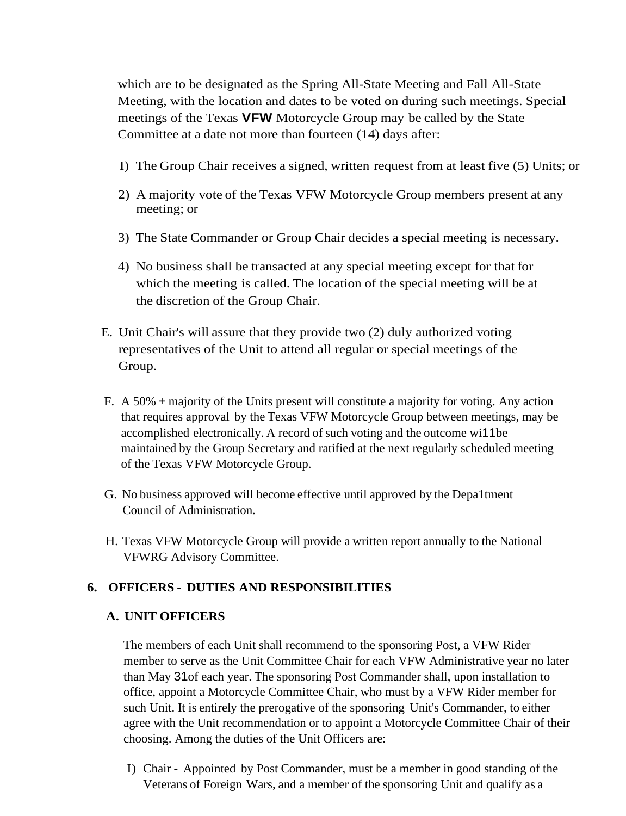which are to be designated as the Spring All-State Meeting and Fall All-State Meeting, with the location and dates to be voted on during such meetings. Special meetings of the Texas **VFW** Motorcycle Group may be called by the State Committee at a date not more than fourteen (14) days after:

- I) The Group Chair receives a signed, written request from at least five (5) Units; or
- 2) A majority vote of the Texas VFW Motorcycle Group members present at any meeting; or
- 3) The State Commander or Group Chair decides a special meeting is necessary.
- 4) No business shall be transacted at any special meeting except for that for which the meeting is called. The location of the special meeting will be at the discretion of the Group Chair.
- E. Unit Chair's will assure that they provide two (2) duly authorized voting representatives of the Unit to attend all regular or special meetings of the Group.
- F. A 50% + majority of the Units present will constitute a majority for voting. Any action that requires approval by the Texas VFW Motorcycle Group between meetings, may be accomplished electronically. A record of such voting and the outcome wi11be maintained by the Group Secretary and ratified at the next regularly scheduled meeting of the Texas VFW Motorcycle Group.
- G. No business approved will become effective until approved by the Depa1tment Council of Administration.
- H. Texas VFW Motorcycle Group will provide a written report annually to the National VFWRG Advisory Committee.

# **6. OFFICERS - DUTIES AND RESPONSIBILITIES**

# **A. UNIT OFFICERS**

The members of each Unit shall recommend to the sponsoring Post, a VFW Rider member to serve as the Unit Committee Chair for each VFW Administrative year no later than May 31of each year. The sponsoring Post Commander shall, upon installation to office, appoint a Motorcycle Committee Chair, who must by a VFW Rider member for such Unit. It is entirely the prerogative of the sponsoring Unit's Commander, to either agree with the Unit recommendation or to appoint a Motorcycle Committee Chair of their choosing. Among the duties of the Unit Officers are:

I) Chair - Appointed by Post Commander, must be a member in good standing of the Veterans of Foreign Wars, and a member of the sponsoring Unit and qualify as a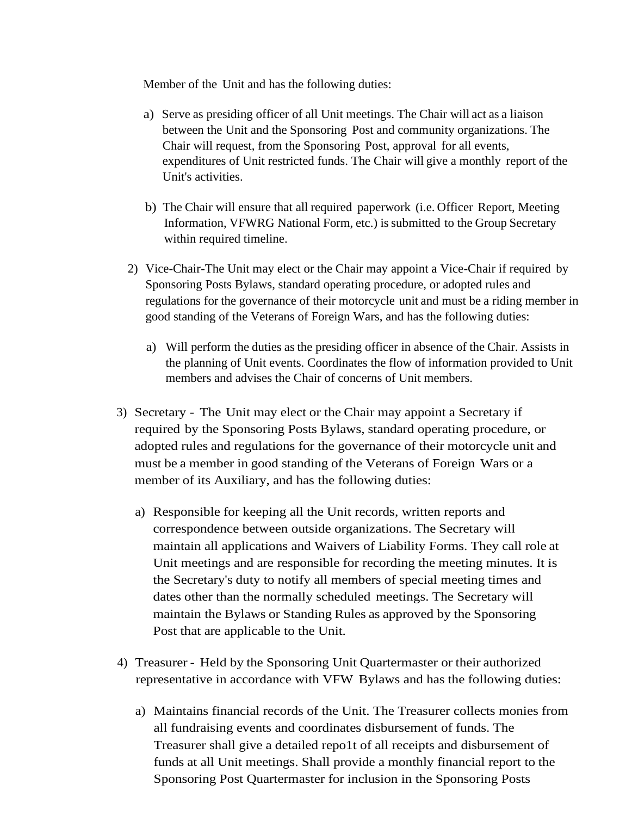Member of the Unit and has the following duties:

- a) Serve as presiding officer of all Unit meetings. The Chair will act as a liaison between the Unit and the Sponsoring Post and community organizations. The Chair will request, from the Sponsoring Post, approval for all events, expenditures of Unit restricted funds. The Chair will give a monthly report of the Unit's activities.
- b) The Chair will ensure that all required paperwork (i.e. Officer Report, Meeting Information, VFWRG National Form, etc.) is submitted to the Group Secretary within required timeline.
- 2) Vice-Chair-The Unit may elect or the Chair may appoint a Vice-Chair if required by Sponsoring Posts Bylaws, standard operating procedure, or adopted rules and regulations for the governance of their motorcycle unit and must be a riding member in good standing of the Veterans of Foreign Wars, and has the following duties:
	- a) Will perform the duties asthe presiding officer in absence of the Chair. Assists in the planning of Unit events. Coordinates the flow of information provided to Unit members and advises the Chair of concerns of Unit members.
- 3) Secretary The Unit may elect or the Chair may appoint a Secretary if required by the Sponsoring Posts Bylaws, standard operating procedure, or adopted rules and regulations for the governance of their motorcycle unit and must be a member in good standing of the Veterans of Foreign Wars or a member of its Auxiliary, and has the following duties:
	- a) Responsible for keeping all the Unit records, written reports and correspondence between outside organizations. The Secretary will maintain all applications and Waivers of Liability Forms. They call role at Unit meetings and are responsible for recording the meeting minutes. It is the Secretary's duty to notify all members of special meeting times and dates other than the normally scheduled meetings. The Secretary will maintain the Bylaws or Standing Rules as approved by the Sponsoring Post that are applicable to the Unit.
- 4) Treasurer Held by the Sponsoring Unit Quartermaster or their authorized representative in accordance with VFW Bylaws and has the following duties:
	- a) Maintains financial records of the Unit. The Treasurer collects monies from all fundraising events and coordinates disbursement of funds. The Treasurer shall give a detailed repo1t of all receipts and disbursement of funds at all Unit meetings. Shall provide a monthly financial report to the Sponsoring Post Quartermaster for inclusion in the Sponsoring Posts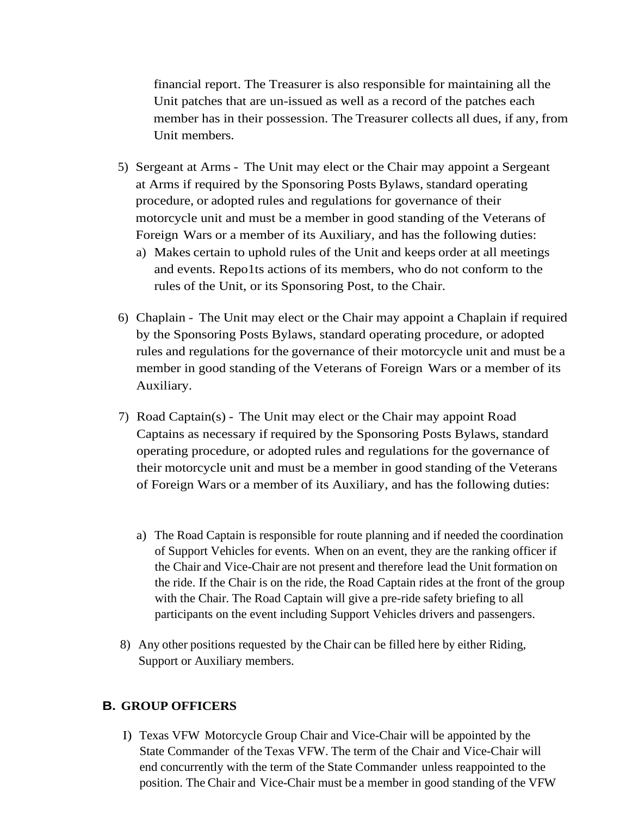financial report. The Treasurer is also responsible for maintaining all the Unit patches that are un-issued as well as a record of the patches each member has in their possession. The Treasurer collects all dues, if any, from Unit members.

- 5) Sergeant at Arms The Unit may elect or the Chair may appoint a Sergeant at Arms if required by the Sponsoring Posts Bylaws, standard operating procedure, or adopted rules and regulations for governance of their motorcycle unit and must be a member in good standing of the Veterans of Foreign Wars or a member of its Auxiliary, and has the following duties:
	- a) Makes certain to uphold rules of the Unit and keeps order at all meetings and events. Repo1ts actions of its members, who do not conform to the rules of the Unit, or its Sponsoring Post, to the Chair.
- 6) Chaplain The Unit may elect or the Chair may appoint a Chaplain if required by the Sponsoring Posts Bylaws, standard operating procedure, or adopted rules and regulations for the governance of their motorcycle unit and must be a member in good standing of the Veterans of Foreign Wars or a member of its Auxiliary.
- 7) Road Captain(s) The Unit may elect or the Chair may appoint Road Captains as necessary if required by the Sponsoring Posts Bylaws, standard operating procedure, or adopted rules and regulations for the governance of their motorcycle unit and must be a member in good standing of the Veterans of Foreign Wars or a member of its Auxiliary, and has the following duties:
	- a) The Road Captain is responsible for route planning and if needed the coordination of Support Vehicles for events. When on an event, they are the ranking officer if the Chair and Vice-Chair are not present and therefore lead the Unit formation on the ride. If the Chair is on the ride, the Road Captain rides at the front of the group with the Chair. The Road Captain will give a pre-ride safety briefing to all participants on the event including Support Vehicles drivers and passengers.
- 8) Any other positions requested by the Chair can be filled here by either Riding, Support or Auxiliary members.

# **B. GROUP OFFICERS**

I) Texas VFW Motorcycle Group Chair and Vice-Chair will be appointed by the State Commander of the Texas VFW. The term of the Chair and Vice-Chair will end concurrently with the term of the State Commander unless reappointed to the position. The Chair and Vice-Chair must be a member in good standing of the VFW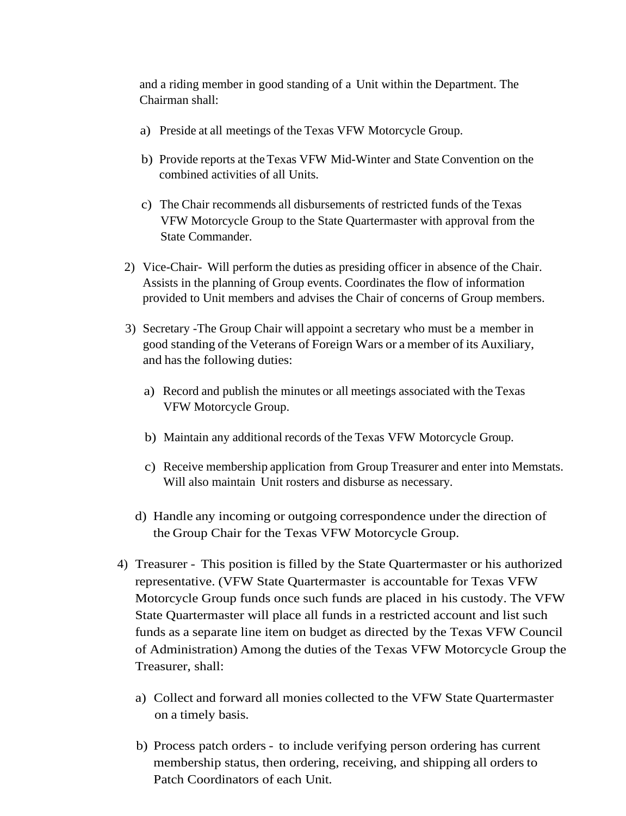and a riding member in good standing of a Unit within the Department. The Chairman shall:

- a) Preside at all meetings of the Texas VFW Motorcycle Group.
- b) Provide reports at theTexas VFW Mid-Winter and State Convention on the combined activities of all Units.
- c) The Chair recommends all disbursements of restricted funds of the Texas VFW Motorcycle Group to the State Quartermaster with approval from the State Commander.
- 2) Vice-Chair- Will perform the duties as presiding officer in absence of the Chair. Assists in the planning of Group events. Coordinates the flow of information provided to Unit members and advises the Chair of concerns of Group members.
- 3) Secretary -The Group Chair will appoint a secretary who must be a member in good standing of the Veterans of Foreign Wars or a member of its Auxiliary, and hasthe following duties:
	- a) Record and publish the minutes or all meetings associated with the Texas VFW Motorcycle Group.
	- b) Maintain any additional records of the Texas VFW Motorcycle Group.
	- c) Receive membership application from Group Treasurer and enter into Memstats. Will also maintain Unit rosters and disburse as necessary.
	- d) Handle any incoming or outgoing correspondence under the direction of the Group Chair for the Texas VFW Motorcycle Group.
- 4) Treasurer This position is filled by the State Quartermaster or his authorized representative. (VFW State Quartermaster is accountable for Texas VFW Motorcycle Group funds once such funds are placed in his custody. The VFW State Quartermaster will place all funds in a restricted account and list such funds as a separate line item on budget as directed by the Texas VFW Council of Administration) Among the duties of the Texas VFW Motorcycle Group the Treasurer, shall:
	- a) Collect and forward all monies collected to the VFW State Quartermaster on a timely basis.
	- b) Process patch orders to include verifying person ordering has current membership status, then ordering, receiving, and shipping all orders to Patch Coordinators of each Unit.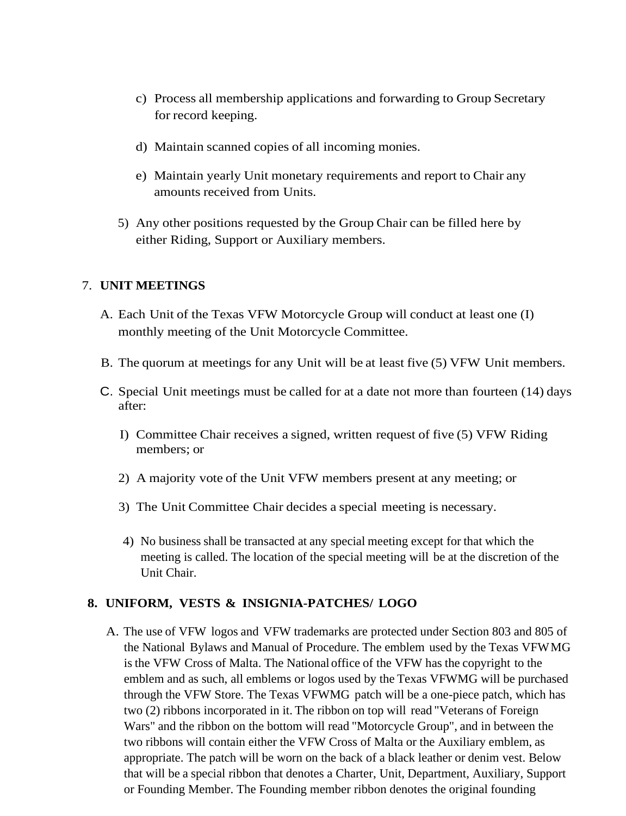- c) Process all membership applications and forwarding to Group Secretary for record keeping.
- d) Maintain scanned copies of all incoming monies.
- e) Maintain yearly Unit monetary requirements and report to Chair any amounts received from Units.
- 5) Any other positions requested by the Group Chair can be filled here by either Riding, Support or Auxiliary members.

# 7. **UNIT MEETINGS**

- A. Each Unit of the Texas VFW Motorcycle Group will conduct at least one (I) monthly meeting of the Unit Motorcycle Committee.
- B. The quorum at meetings for any Unit will be at least five (5) VFW Unit members.
- C. Special Unit meetings must be called for at a date not more than fourteen (14) days after:
	- I) Committee Chair receives a signed, written request of five (5) VFW Riding members; or
	- 2) A majority vote of the Unit VFW members present at any meeting; or
	- 3) The Unit Committee Chair decides a special meeting is necessary.
	- 4) No business shall be transacted at any special meeting except for that which the meeting is called. The location of the special meeting will be at the discretion of the Unit Chair.

# **8. UNIFORM, VESTS & INSIGNIA-PATCHES/ LOGO**

A. The use of VFW logos and VFW trademarks are protected under Section 803 and 805 of the National Bylaws and Manual of Procedure. The emblem used by the Texas VFWMG is the VFW Cross of Malta. The National office of the VFW has the copyright to the emblem and as such, all emblems or logos used by the Texas VFWMG will be purchased through the VFW Store. The Texas VFWMG patch will be a one-piece patch, which has two (2) ribbons incorporated in it. The ribbon on top will read "Veterans of Foreign Wars" and the ribbon on the bottom will read "Motorcycle Group", and in between the two ribbons will contain either the VFW Cross of Malta or the Auxiliary emblem, as appropriate. The patch will be worn on the back of a black leather or denim vest. Below that will be a special ribbon that denotes a Charter, Unit, Department, Auxiliary, Support or Founding Member. The Founding member ribbon denotes the original founding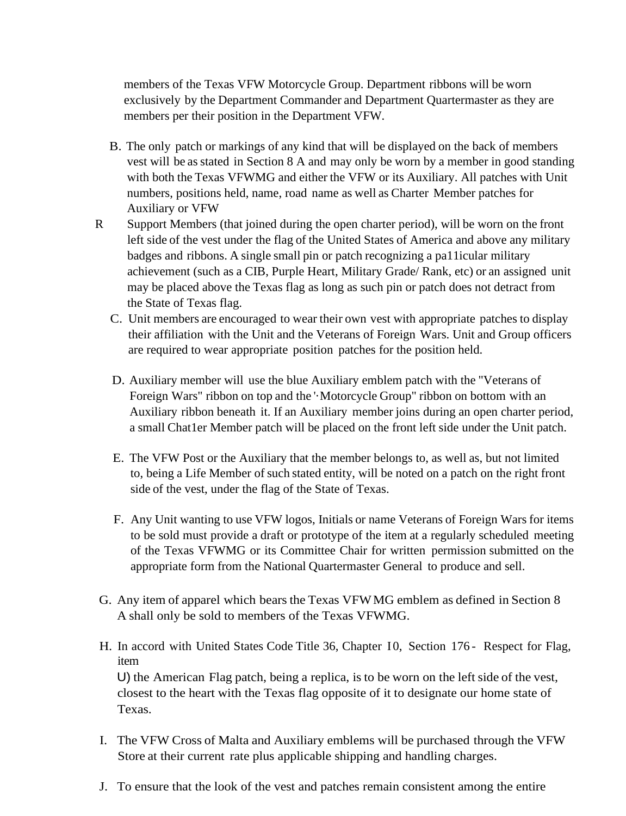members of the Texas VFW Motorcycle Group. Department ribbons will be worn exclusively by the Department Commander and Department Quartermaster as they are members per their position in the Department VFW.

- B. The only patch or markings of any kind that will be displayed on the back of members vest will be asstated in Section 8 A and may only be worn by a member in good standing with both the Texas VFWMG and either the VFW or its Auxiliary. All patches with Unit numbers, positions held, name, road name as well as Charter Member patches for Auxiliary or VFW
- R Support Members (that joined during the open charter period), will be worn on the front left side of the vest under the flag of the United States of America and above any military badges and ribbons. A single small pin or patch recognizing a pa11icular military achievement (such as a CIB, Purple Heart, Military Grade/ Rank, etc) or an assigned unit may be placed above the Texas flag as long as such pin or patch does not detract from the State of Texas flag.
	- C. Unit members are encouraged to wear their own vest with appropriate patches to display their affiliation with the Unit and the Veterans of Foreign Wars. Unit and Group officers are required to wear appropriate position patches for the position held.
	- D. Auxiliary member will use the blue Auxiliary emblem patch with the "Veterans of Foreign Wars" ribbon on top and the '·Motorcycle Group" ribbon on bottom with an Auxiliary ribbon beneath it. If an Auxiliary member joins during an open charter period, a small Chat1er Member patch will be placed on the front left side under the Unit patch.
	- E. The VFW Post or the Auxiliary that the member belongs to, as well as, but not limited to, being a Life Member of such stated entity, will be noted on a patch on the right front side of the vest, under the flag of the State of Texas.
	- F. Any Unit wanting to use VFW logos, Initials or name Veterans of Foreign Wars for items to be sold must provide a draft or prototype of the item at a regularly scheduled meeting of the Texas VFWMG or its Committee Chair for written permission submitted on the appropriate form from the National Quartermaster General to produce and sell.
- G. Any item of apparel which bears the Texas VFWMG emblem as defined in Section 8 A shall only be sold to members of the Texas VFWMG.
- H. In accord with United States Code Title 36, Chapter 10, Section 176 Respect for Flag, item U) the American Flag patch, being a replica, is to be worn on the left side of the vest, closest to the heart with the Texas flag opposite of it to designate our home state of Texas.
- I. The VFW Cross of Malta and Auxiliary emblems will be purchased through the VFW Store at their current rate plus applicable shipping and handling charges.
- J. To ensure that the look of the vest and patches remain consistent among the entire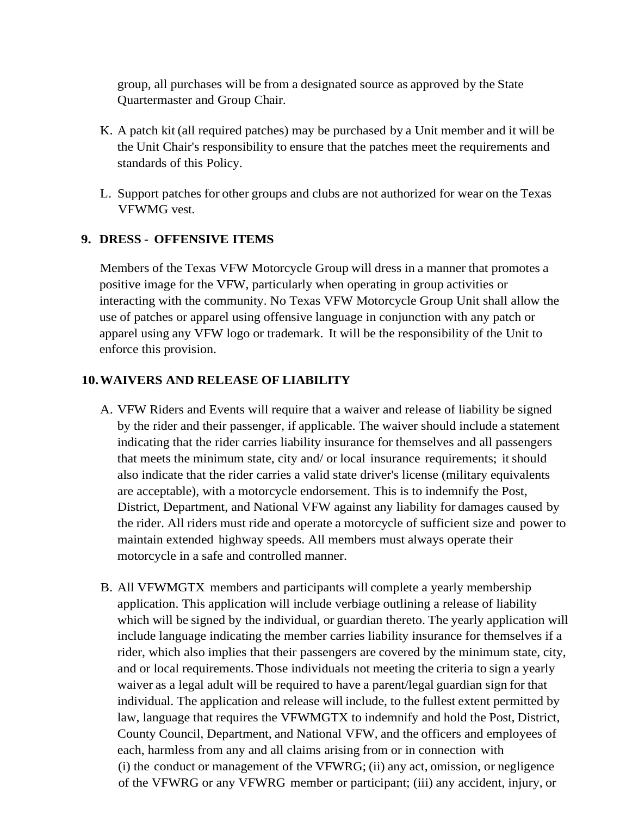group, all purchases will be from a designated source as approved by the State Quartermaster and Group Chair.

- K. A patch kit (all required patches) may be purchased by a Unit member and it will be the Unit Chair's responsibility to ensure that the patches meet the requirements and standards of this Policy.
- L. Support patches for other groups and clubs are not authorized for wear on the Texas VFWMG vest.

# **9. DRESS - OFFENSIVE ITEMS**

Members of the Texas VFW Motorcycle Group will dress in a manner that promotes a positive image for the VFW, particularly when operating in group activities or interacting with the community. No Texas VFW Motorcycle Group Unit shall allow the use of patches or apparel using offensive language in conjunction with any patch or apparel using any VFW logo or trademark. It will be the responsibility of the Unit to enforce this provision.

#### **10.WAIVERS AND RELEASE OF LIABILITY**

- A. VFW Riders and Events will require that a waiver and release of liability be signed by the rider and their passenger, if applicable. The waiver should include a statement indicating that the rider carries liability insurance for themselves and all passengers that meets the minimum state, city and/ or local insurance requirements; it should also indicate that the rider carries a valid state driver's license (military equivalents are acceptable), with a motorcycle endorsement. This is to indemnify the Post, District, Department, and National VFW against any liability for damages caused by the rider. All riders must ride and operate a motorcycle of sufficient size and power to maintain extended highway speeds. All members must always operate their motorcycle in a safe and controlled manner.
- B. All VFWMGTX members and participants will complete a yearly membership application. This application will include verbiage outlining a release of liability which will be signed by the individual, or guardian thereto. The yearly application will include language indicating the member carries liability insurance for themselves if a rider, which also implies that their passengers are covered by the minimum state, city, and or local requirements. Those individuals not meeting the criteria to sign a yearly waiver as a legal adult will be required to have a parent/legal guardian sign for that individual. The application and release will include, to the fullest extent permitted by law, language that requires the VFWMGTX to indemnify and hold the Post, District, County Council, Department, and National VFW, and the officers and employees of each, harmless from any and all claims arising from or in connection with (i) the conduct or management of the VFWRG; (ii) any act, omission, or negligence of the VFWRG or any VFWRG member or participant; (iii) any accident, injury, or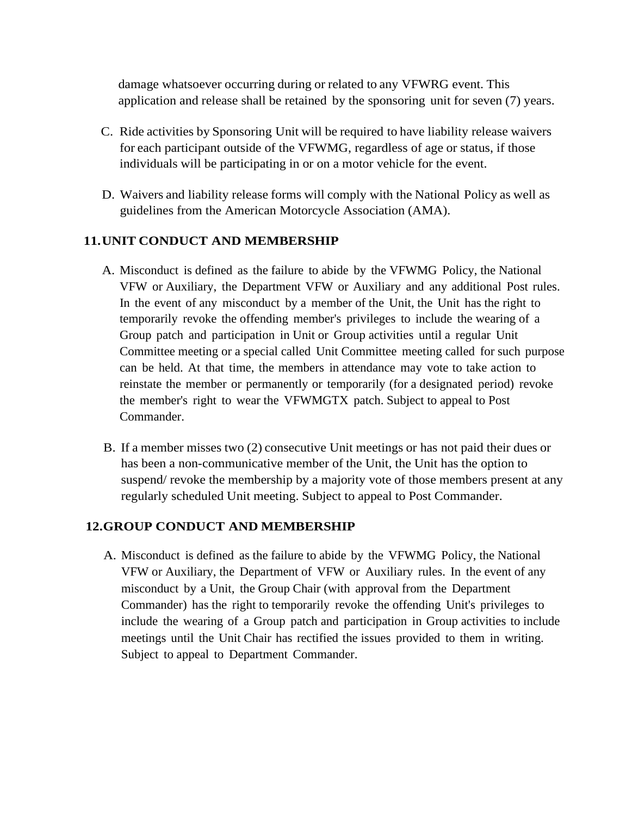damage whatsoever occurring during or related to any VFWRG event. This application and release shall be retained by the sponsoring unit for seven (7) years.

- C. Ride activities by Sponsoring Unit will be required to have liability release waivers for each participant outside of the VFWMG, regardless of age or status, if those individuals will be participating in or on a motor vehicle for the event.
- D. Waivers and liability release forms will comply with the National Policy as well as guidelines from the American Motorcycle Association (AMA).

#### **11.UNIT CONDUCT AND MEMBERSHIP**

- A. Misconduct is defined as the failure to abide by the VFWMG Policy, the National VFW or Auxiliary, the Department VFW or Auxiliary and any additional Post rules. In the event of any misconduct by a member of the Unit, the Unit has the right to temporarily revoke the offending member's privileges to include the wearing of a Group patch and participation in Unit or Group activities until a regular Unit Committee meeting or a special called Unit Committee meeting called for such purpose can be held. At that time, the members in attendance may vote to take action to reinstate the member or permanently or temporarily (for a designated period) revoke the member's right to wear the VFWMGTX patch. Subject to appeal to Post Commander.
- B. If a member misses two (2) consecutive Unit meetings or has not paid their dues or has been a non-communicative member of the Unit, the Unit has the option to suspend/ revoke the membership by a majority vote of those members present at any regularly scheduled Unit meeting. Subject to appeal to Post Commander.

#### **12.GROUP CONDUCT AND MEMBERSHIP**

A. Misconduct is defined as the failure to abide by the VFWMG Policy, the National VFW or Auxiliary, the Department of VFW or Auxiliary rules. In the event of any misconduct by a Unit, the Group Chair (with approval from the Department Commander) has the right to temporarily revoke the offending Unit's privileges to include the wearing of a Group patch and participation in Group activities to include meetings until the Unit Chair has rectified the issues provided to them in writing. Subject to appeal to Department Commander.